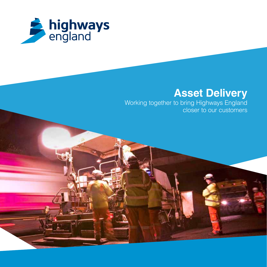

### **Asset Delivery**

Working together to bring Highways England closer to our customers

> Pic to be the same as used on PowerPoint

presentations and the set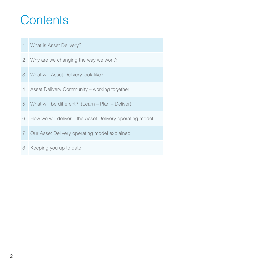### **Contents**

- What is Asset Delivery?
- Why are we changing the way we work?
- What will Asset Delivery look like?
- Asset Delivery Community working together
- What will be different? (Learn Plan Deliver)
- How we will deliver the Asset Delivery operating model
- Our Asset Delivery operating model explained
- Keeping you up to date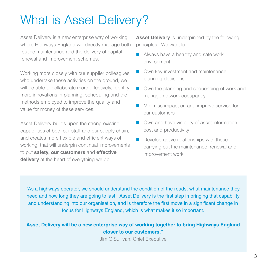## What is Asset Delivery?

Asset Delivery is a new enterprise way of working where Highways England will directly manage both routine maintenance and the delivery of capital renewal and improvement schemes.

Working more closely with our supplier colleagues who undertake these activities on the ground, we will be able to collaborate more effectively, identify more innovations in planning, scheduling and the methods employed to improve the quality and value for money of these services.

Asset Delivery builds upon the strong existing capabilities of both our staff and our supply chain, and creates more flexible and efficient ways of working, that will underpin continual improvements to put **safety, our customers** and **effective delivery** at the heart of everything we do.

**Asset Delivery** is underpinned by the following principles. We want to:

- Always have a healthy and safe work environment
- Own key investment and maintenance planning decisions
- Own the planning and sequencing of work and manage network occupancy
- **Minimise impact on and improve service for** our customers
- Own and have visibility of asset information, cost and productivity
- Develop active relationships with those carrying out the maintenance, renewal and improvement work

"As a highways operator, we should understand the condition of the roads, what maintenance they need and how long they are going to last. Asset Delivery is the first step in bringing that capability and understanding into our organisation, and is therefore the first move in a significant change in focus for Highways England, which is what makes it so important.

### **Asset Delivery will be a new enterprise way of working together to bring Highways England closer to our customers."**

Jim O'Sullivan, Chief Executive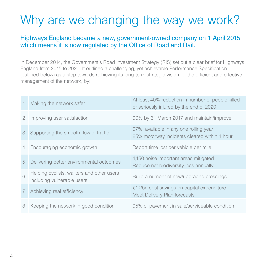## Why are we changing the way we work?

### Highways England became a new, government-owned company on 1 April 2015, which means it is now regulated by the Office of Road and Rail.

In December 2014, the Government's Road Investment Strategy (RIS) set out a clear brief for Highways England from 2015 to 2020. It outlined a challenging, yet achievable Performance Specification (outlined below) as a step towards achieving its long-term strategic vision for the efficient and effective management of the network, by:

|                | Making the network safer                                                | At least 40% reduction in number of people killed<br>or seriously injured by the end of 2020 |
|----------------|-------------------------------------------------------------------------|----------------------------------------------------------------------------------------------|
| $\mathbf{2}$   | Improving user satisfaction                                             | 90% by 31 March 2017 and maintain/improve                                                    |
| 3              | Supporting the smooth flow of traffic                                   | 97% available in any one rolling year<br>85% motorway incidents cleared within 1 hour        |
|                | 4 Encouraging economic growth                                           | Report time lost per vehicle per mile                                                        |
| 5              | Delivering better environmental outcomes                                | 1,150 noise important areas mitigated<br>Reduce net biodiversity loss annually               |
| 6              | Helping cyclists, walkers and other users<br>including vulnerable users | Build a number of new/upgraded crossings                                                     |
| 7 <sup>1</sup> | Achieving real efficiency                                               | £1.2bn cost savings on capital expenditure<br>Meet Delivery Plan forecasts                   |
| 8              | Keeping the network in good condition                                   | 95% of pavement in safe/serviceable condition                                                |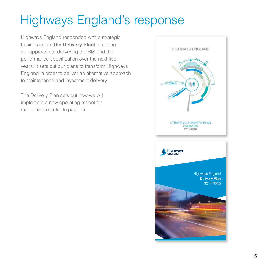## Highways England's response

Highways England responded with a strategic business plan (**the Delivery Plan**), outlining our approach to delivering the RIS and the performance specification over the next five years. It sets out our plans to transform Highways England in order to deliver an alternative approach to maintenance and investment delivery.

The Delivery Plan sets out how we will implement a new operating model for maintenance (refer to page 9)

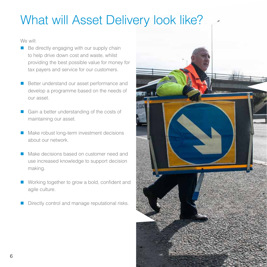## What will Asset Delivery look like?

We will:

- Be directly engaging with our supply chain to help drive down cost and waste, whilst providing the best possible value for money for tax payers and service for our customers.
- Better understand our asset performance and develop a programme based on the needs of our asset.
- Gain a better understanding of the costs of maintaining our asset.
- Make robust long-term investment decisions about our network.
- **Make decisions based on customer need and** use increased knowledge to support decision making.
- Working together to grow a bold, confident and agile culture.
- Directly control and manage reputational risks.

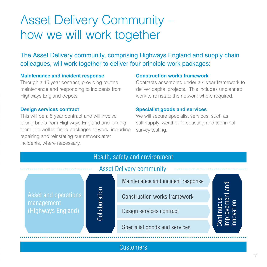### Asset Delivery Community – how we will work together

The Asset Delivery community, comprising Highways England and supply chain colleagues, will work together to deliver four principle work packages:

#### **Maintenance and incident response**

Through a 15 year contract, providing routine maintenance and responding to incidents from Highways England depots.

#### **Design services contract**

This will be a 5 year contract and will involve taking briefs from Highways England and turning them into well-defined packages of work, including repairing and reinstating our network after incidents, where necessary.

#### **Construction works framework**

Contracts assembled under a 4 year framework to deliver capital projects. This includes unplanned work to reinstate the network where required.

#### **Specialist goods and services**

We will secure specialist services, such as salt supply, weather forecasting and technical survey testing.



### **Customers**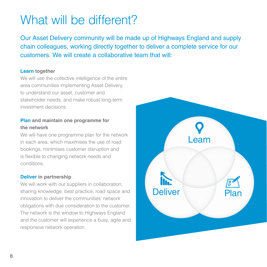## What will be different?

Our Asset Delivery community will be made up of Highways England and supply chain colleagues, working directly together to deliver a complete service for our customers. We will create a collaborative team that will:

#### **Learn together**

We will use the collective intelligence of the entire area communities implementing Asset Delivery, to understand our asset, customer and stakeholder needs, and make robust long-term investment decisions.

### **Plan and maintain one programme for the network**

We will have one programme plan for the network in each area, which maximises the use of road bookings, minimises customer disruption and is flexible to changing network needs and conditions.

#### **Deliver in partnership**

We will work with our suppliers in collaboration, sharing knowledge, best practice, road space and innovation to deliver the communities' network obligations with due consideration to the customer. The network is the window to Highways England and the customer will experience a busy, agile and responsive network operation.

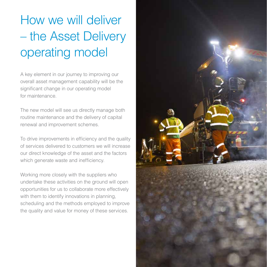# How we will deliver – the Asset Delivery operating model

A key element in our journey to improving our overall asset management capability will be the significant change in our operating model for maintenance.

The new model will see us directly manage both routine maintenance and the delivery of capital renewal and improvement schemes.

To drive improvements in efficiency and the quality of services delivered to customers we will increase our direct knowledge of the asset and the factors which generate waste and inefficiency.

Working more closely with the suppliers who undertake these activities on the ground will open opportunities for us to collaborate more effectively with them to identify innovations in planning, scheduling and the methods employed to improve the quality and value for money of these services.

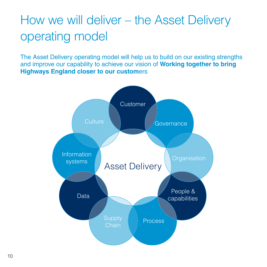## How we will deliver – the Asset Delivery operating model

The Asset Delivery operating model will help us to build on our existing strengths and improve our capability to achieve our vision of **Working together to bring Highways England closer to our custom**ers

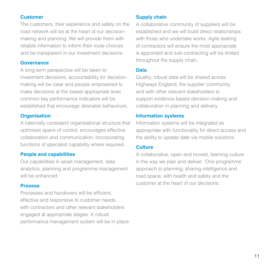#### **Customer**

The customers, their experience and safety on the road network will be at the heart of our decisionmaking and planning. We will provide them with reliable information to inform their route choices and be transparent in our investment decisions.

#### **Governance**

A long-term perspective will be taken to investment decisions. accountability for decisionmaking will be clear and people empowered to make decisions at the lowest appropriate level. common key performance indicators will be established that encourage desirable behaviours.

#### **Organisation**

A nationally consistent organisational structure that optimises spans of control, encourages effective collaboration and communication; incorporating functions of specialist capability where required.

#### **People and capabilities**

Our capabilities in asset management, data analytics, planning and programme management will be enhanced

#### **Process**

Processes and handovers will be efficient, effective and responsive to customer needs, with contractors and other relevant stakeholders engaged at appropriate stages. A robust performance management system will be in place.

#### **Supply chain**

A collaborative community of suppliers will be established and we will build direct relationships with those who undertake works. Agile tasking of contractors will ensure the most appropriate is appointed and sub-contracting will be limited throughout the supply chain.

#### **Data**

Quality, robust data will be shared across Highways England, the supplier community and with other relevant stakeholders to support evidence-based decision-making and collaboration in planning and delivery.

#### **Information systems**

Information systems will be integrated as appropriate with functionality for direct access and the ability to update date via mobile solutions.

#### **Culture**

A collaborative, open and honest, learning culture in the way we plan and deliver. 'One programme' approach to planning; sharing intelligence and road space, with health and safety and the customer at the heart of our decisions.